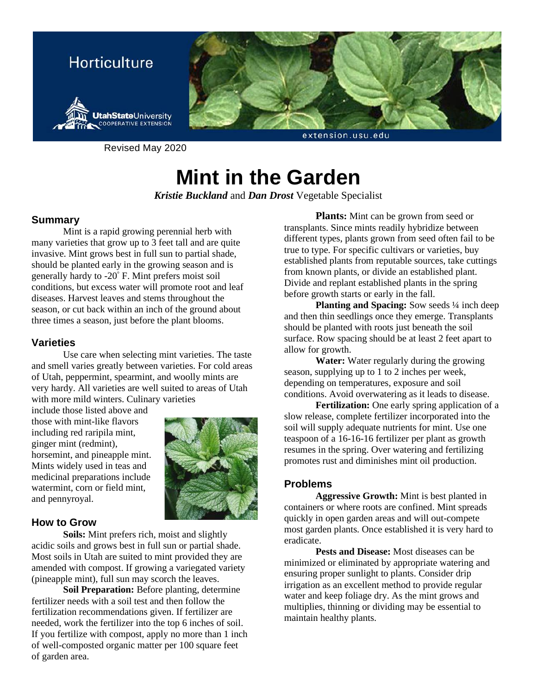

Revised May 2020

# **Mint in the Garden**

*Kristie Buckland* and *Dan Drost* Vegetable Specialist

# **Summary**

Mint is a rapid growing perennial herb with many varieties that grow up to 3 feet tall and are quite invasive. Mint grows best in full sun to partial shade, should be planted early in the growing season and is generally hardy to -20° F. Mint prefers moist soil conditions, but excess water will promote root and leaf diseases. Harvest leaves and stems throughout the season, or cut back within an inch of the ground about three times a season, just before the plant blooms.

# **Varieties**

Use care when selecting mint varieties. The taste and smell varies greatly between varieties. For cold areas of Utah, peppermint, spearmint, and woolly mints are very hardy. All varieties are well suited to areas of Utah with more mild winters. Culinary varieties

include those listed above and those with mint-like flavors including red raripila mint, ginger mint (redmint), horsemint, and pineapple mint. Mints widely used in teas and medicinal preparations include watermint, corn or field mint, and pennyroyal.



## **How to Grow**

**Soils:** Mint prefers rich, moist and slightly acidic soils and grows best in full sun or partial shade. Most soils in Utah are suited to mint provided they are amended with compost. If growing a variegated variety (pineapple mint), full sun may scorch the leaves.

**Soil Preparation:** Before planting, determine fertilizer needs with a soil test and then follow the fertilization recommendations given. If fertilizer are needed, work the fertilizer into the top 6 inches of soil. If you fertilize with compost, apply no more than 1 inch of well-composted organic matter per 100 square feet of garden area.

**Plants:** Mint can be grown from seed or transplants. Since mints readily hybridize between different types, plants grown from seed often fail to be true to type. For specific cultivars or varieties, buy established plants from reputable sources, take cuttings from known plants, or divide an established plant. Divide and replant established plants in the spring before growth starts or early in the fall.

**Planting and Spacing:** Sow seeds <sup>1</sup>/4 inch deep and then thin seedlings once they emerge. Transplants should be planted with roots just beneath the soil surface. Row spacing should be at least 2 feet apart to allow for growth.

**Water:** Water regularly during the growing season, supplying up to 1 to 2 inches per week, depending on temperatures, exposure and soil conditions. Avoid overwatering as it leads to disease.

**Fertilization:** One early spring application of a slow release, complete fertilizer incorporated into the soil will supply adequate nutrients for mint. Use one teaspoon of a 16-16-16 fertilizer per plant as growth resumes in the spring. Over watering and fertilizing promotes rust and diminishes mint oil production.

# **Problems**

**Aggressive Growth:** Mint is best planted in containers or where roots are confined. Mint spreads quickly in open garden areas and will out-compete most garden plants. Once established it is very hard to eradicate.

**Pests and Disease:** Most diseases can be minimized or eliminated by appropriate watering and ensuring proper sunlight to plants. Consider drip irrigation as an excellent method to provide regular water and keep foliage dry. As the mint grows and multiplies, thinning or dividing may be essential to maintain healthy plants.